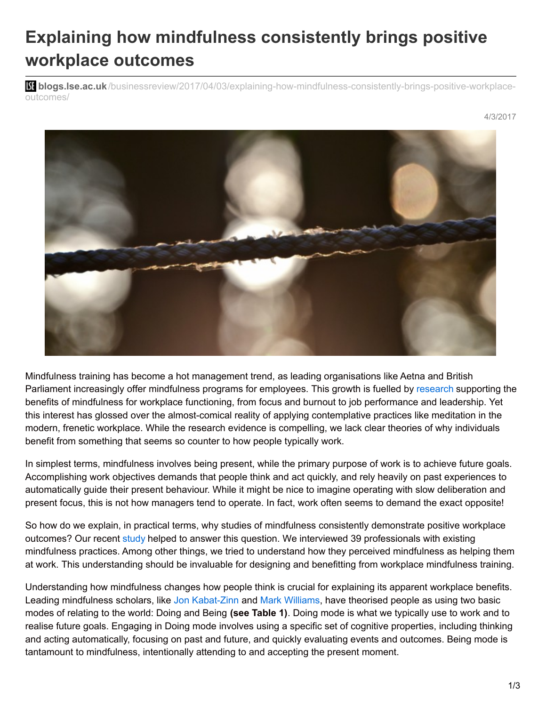## **Explaining how mindfulness consistently brings positive workplace outcomes**

**bli blogs.lse.ac.uk**[/businessreview/2017/04/03/explaining-how-mindfulness-consistently-brings-positive-workplace](http://blogs.lse.ac.uk/businessreview/2017/04/03/explaining-how-mindfulness-consistently-brings-positive-workplace-outcomes/)outcomes/



Mindfulness training has become a hot management trend, as leading organisations like Aetna and British Parliament increasingly offer mindfulness programs for employees. This growth is fuelled by [research](http://journals.sagepub.com/doi/full/10.1177/0149206315617003) supporting the benefits of mindfulness for workplace functioning, from focus and burnout to job performance and leadership. Yet this interest has glossed over the almost-comical reality of applying contemplative practices like meditation in the modern, frenetic workplace. While the research evidence is compelling, we lack clear theories of why individuals benefit from something that seems so counter to how people typically work.

In simplest terms, mindfulness involves being present, while the primary purpose of work is to achieve future goals. Accomplishing work objectives demands that people think and act quickly, and rely heavily on past experiences to automatically guide their present behaviour. While it might be nice to imagine operating with slow deliberation and present focus, this is not how managers tend to operate. In fact, work often seems to demand the exact opposite!

So how do we explain, in practical terms, why studies of mindfulness consistently demonstrate positive workplace outcomes? Our recent [study](http://journal.frontiersin.org/article/10.3389/fpsyg.2016.02060/full) helped to answer this question. We interviewed 39 professionals with existing mindfulness practices. Among other things, we tried to understand how they perceived mindfulness as helping them at work. This understanding should be invaluable for designing and benefitting from workplace mindfulness training.

Understanding how mindfulness changes how people think is crucial for explaining its apparent workplace benefits. Leading mindfulness scholars, like Jon [Kabat-Zinn](https://www.amazon.com/Full-Catastrophe-Living-Revised-Illness/dp/0345536932) and Mark [Williams](http://link.springer.com/article/10.1007/s10608-008-9204-z), have theorised people as using two basic modes of relating to the world: Doing and Being **(see Table 1)**. Doing mode is what we typically use to work and to realise future goals. Engaging in Doing mode involves using a specific set of cognitive properties, including thinking and acting automatically, focusing on past and future, and quickly evaluating events and outcomes. Being mode is tantamount to mindfulness, intentionally attending to and accepting the present moment.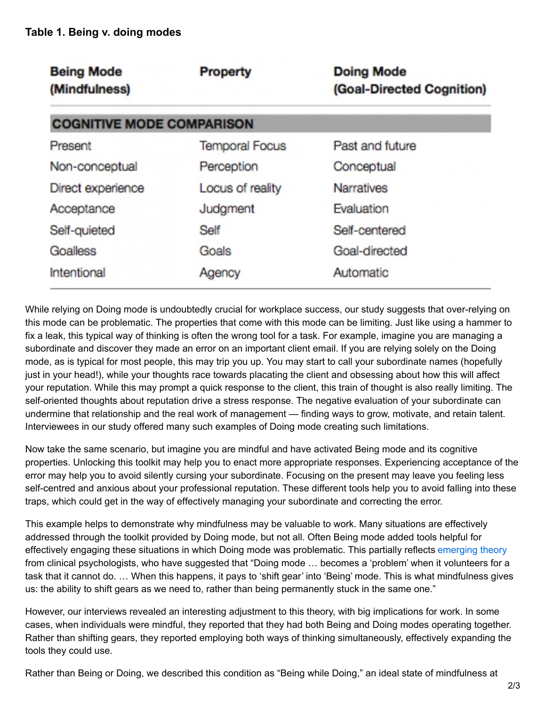| <b>Being Mode</b><br>(Mindfulness) | <b>Property</b>       | <b>Doing Mode</b><br>(Goal-Directed Cognition) |
|------------------------------------|-----------------------|------------------------------------------------|
| <b>COGNITIVE MODE COMPARISON</b>   |                       |                                                |
| Present                            | <b>Temporal Focus</b> | Past and future                                |
| Non-conceptual                     | Perception            | Conceptual                                     |
| Direct experience                  | Locus of reality      | <b>Narratives</b>                              |
| Acceptance                         | Judgment              | Evaluation                                     |
| Self-quieted                       | Self                  | Self-centered                                  |
| Goalless                           | Goals                 | Goal-directed                                  |
| Intentional                        | Agency                | Automatic                                      |

While relying on Doing mode is undoubtedly crucial for workplace success, our study suggests that over-relying on this mode can be problematic. The properties that come with this mode can be limiting. Just like using a hammer to fix a leak, this typical way of thinking is often the wrong tool for a task. For example, imagine you are managing a subordinate and discover they made an error on an important client email. If you are relying solely on the Doing mode, as is typical for most people, this may trip you up. You may start to call your subordinate names (hopefully just in your head!), while your thoughts race towards placating the client and obsessing about how this will affect your reputation. While this may prompt a quick response to the client, this train of thought is also really limiting. The self-oriented thoughts about reputation drive a stress response. The negative evaluation of your subordinate can undermine that relationship and the real work of management — finding ways to grow, motivate, and retain talent. Interviewees in our study offered many such examples of Doing mode creating such limitations.

Now take the same scenario, but imagine you are mindful and have activated Being mode and its cognitive properties. Unlocking this toolkit may help you to enact more appropriate responses. Experiencing acceptance of the error may help you to avoid silently cursing your subordinate. Focusing on the present may leave you feeling less self-centred and anxious about your professional reputation. These different tools help you to avoid falling into these traps, which could get in the way of effectively managing your subordinate and correcting the error.

This example helps to demonstrate why mindfulness may be valuable to work. Many situations are effectively addressed through the toolkit provided by Doing mode, but not all. Often Being mode added tools helpful for effectively engaging these situations in which Doing mode was problematic. This partially reflects [emerging](https://books.google.com/books?hl=en&lr=&id=aV_YAAAAQBAJ&oi=fnd&pg=PR9&dq=Williams+and+Penman+2012&ots=4HxVb81wOy&sig=7WH7Tk2jPN_ALzjnnCzpU4FLesg#v=onepage&q=Williams and Penman 2012&f=false) theory from clinical psychologists, who have suggested that "Doing mode … becomes a 'problem' when it volunteers for a task that it cannot do. … When this happens, it pays to 'shift gear' into 'Being' mode. This is what mindfulness gives us: the ability to shift gears as we need to, rather than being permanently stuck in the same one."

However, our interviews revealed an interesting adjustment to this theory, with big implications for work. In some cases, when individuals were mindful, they reported that they had both Being and Doing modes operating together. Rather than shifting gears, they reported employing both ways of thinking simultaneously, effectively expanding the tools they could use.

Rather than Being or Doing, we described this condition as "Being while Doing," an ideal state of mindfulness at